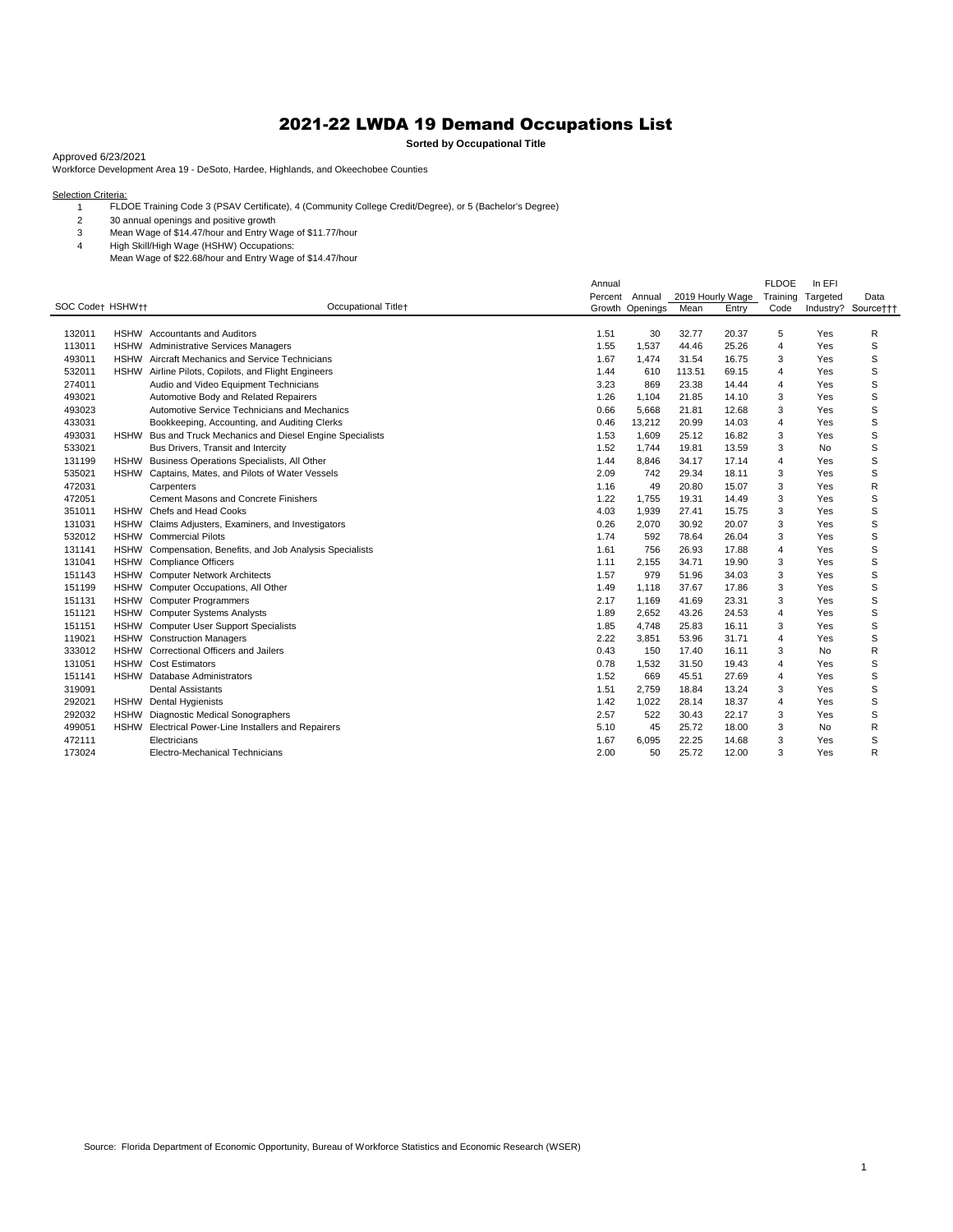## 2021-22 LWDA 19 Demand Occupations List

**Sorted by Occupational Title**

Approved 6/23/2021

Workforce Development Area 19 - DeSoto, Hardee, Highlands, and Okeechobee Counties

Selection Criteria:<br>1 FLDOE Training Code 3 (PSAV Certificate), 4 (Community College Credit/Degree), or 5 (Bachelor's Degree)

30 annual openings and positive growth

Mean Wage of \$14.47/hour and Entry Wage of \$11.77/hour

High Skill/High Wage (HSHW) Occupations:

Mean Wage of \$22.68/hour and Entry Wage of \$14.47/hour

|                  |             |                                                       | Annual  |          |                  |       | <b>FLDOE</b>   | In EFI   |                     |
|------------------|-------------|-------------------------------------------------------|---------|----------|------------------|-------|----------------|----------|---------------------|
|                  |             |                                                       | Percent | Annual   | 2019 Hourly Wage |       | Training       | Targeted | Data                |
| SOC Codet HSHWtt |             | Occupational Title+                                   | Growth  | Openings | Mean             | Entry | Code           |          | Industry? Source††† |
|                  |             |                                                       |         |          |                  |       |                |          |                     |
| 132011           |             | <b>HSHW</b> Accountants and Auditors                  | 1.51    | 30       | 32.77            | 20.37 | 5              | Yes      | R                   |
| 113011           |             | HSHW Administrative Services Managers                 | 1.55    | 1,537    | 44.46            | 25.26 | $\overline{4}$ | Yes      | S                   |
| 493011           |             | HSHW Aircraft Mechanics and Service Technicians       | 1.67    | 1,474    | 31.54            | 16.75 | 3              | Yes      | S                   |
| 532011           | <b>HSHW</b> | Airline Pilots, Copilots, and Flight Engineers        | 1.44    | 610      | 113.51           | 69.15 | $\overline{4}$ | Yes      | S                   |
| 274011           |             | Audio and Video Equipment Technicians                 | 3.23    | 869      | 23.38            | 14.44 | $\overline{4}$ | Yes      | S                   |
| 493021           |             | Automotive Body and Related Repairers                 | 1.26    | 1,104    | 21.85            | 14.10 | 3              | Yes      | S                   |
| 493023           |             | Automotive Service Technicians and Mechanics          | 0.66    | 5,668    | 21.81            | 12.68 | 3              | Yes      | S                   |
| 433031           |             | Bookkeeping, Accounting, and Auditing Clerks          | 0.46    | 13,212   | 20.99            | 14.03 | 4              | Yes      | S                   |
| 493031           | <b>HSHW</b> | Bus and Truck Mechanics and Diesel Engine Specialists | 1.53    | 1,609    | 25.12            | 16.82 | 3              | Yes      | S                   |
| 533021           |             | Bus Drivers, Transit and Intercity                    | 1.52    | 1.744    | 19.81            | 13.59 | 3              | No       | S                   |
| 131199           |             | HSHW Business Operations Specialists, All Other       | 1.44    | 8,846    | 34.17            | 17.14 | 4              | Yes      | S                   |
| 535021           | <b>HSHW</b> | Captains, Mates, and Pilots of Water Vessels          | 2.09    | 742      | 29.34            | 18.11 | 3              | Yes      | S                   |
| 472031           |             | Carpenters                                            | 1.16    | 49       | 20.80            | 15.07 | 3              | Yes      | R                   |
| 472051           |             | Cement Masons and Concrete Finishers                  | 1.22    | 1,755    | 19.31            | 14.49 | 3              | Yes      | S                   |
| 351011           |             | HSHW Chefs and Head Cooks                             | 4.03    | 1,939    | 27.41            | 15.75 | 3              | Yes      | S                   |
| 131031           | <b>HSHW</b> | Claims Adjusters, Examiners, and Investigators        | 0.26    | 2,070    | 30.92            | 20.07 | 3              | Yes      | S                   |
| 532012           | <b>HSHW</b> | <b>Commercial Pilots</b>                              | 1.74    | 592      | 78.64            | 26.04 | 3              | Yes      | S                   |
| 131141           | <b>HSHW</b> | Compensation, Benefits, and Job Analysis Specialists  | 1.61    | 756      | 26.93            | 17.88 | $\overline{4}$ | Yes      | S                   |
| 131041           | <b>HSHW</b> | <b>Compliance Officers</b>                            | 1.11    | 2,155    | 34.71            | 19.90 | 3              | Yes      | S                   |
| 151143           | <b>HSHW</b> | <b>Computer Network Architects</b>                    | 1.57    | 979      | 51.96            | 34.03 | 3              | Yes      | S                   |
| 151199           |             | HSHW Computer Occupations, All Other                  | 1.49    | 1,118    | 37.67            | 17.86 | 3              | Yes      | S                   |
| 151131           |             | HSHW Computer Programmers                             | 2.17    | 1,169    | 41.69            | 23.31 | 3              | Yes      | S                   |
| 151121           |             | HSHW Computer Systems Analysts                        | 1.89    | 2,652    | 43.26            | 24.53 | 4              | Yes      | S                   |
| 151151           |             | HSHW Computer User Support Specialists                | 1.85    | 4,748    | 25.83            | 16.11 | 3              | Yes      | S                   |
| 119021           |             | HSHW Construction Managers                            | 2.22    | 3,851    | 53.96            | 31.71 | 4              | Yes      | S                   |
| 333012           |             | HSHW Correctional Officers and Jailers                | 0.43    | 150      | 17.40            | 16.11 | 3              | No       | R                   |
| 131051           |             | <b>HSHW</b> Cost Estimators                           | 0.78    | 1,532    | 31.50            | 19.43 | $\overline{4}$ | Yes      | S                   |
| 151141           | <b>HSHW</b> | Database Administrators                               | 1.52    | 669      | 45.51            | 27.69 | $\overline{4}$ | Yes      | S                   |
| 319091           |             | <b>Dental Assistants</b>                              | 1.51    | 2.759    | 18.84            | 13.24 | 3              | Yes      | S                   |
| 292021           |             | HSHW Dental Hygienists                                | 1.42    | 1,022    | 28.14            | 18.37 | $\overline{4}$ | Yes      | S                   |
| 292032           | <b>HSHW</b> | Diagnostic Medical Sonographers                       | 2.57    | 522      | 30.43            | 22.17 | 3              | Yes      | S                   |
| 499051           | <b>HSHW</b> | Electrical Power-Line Installers and Repairers        | 5.10    | 45       | 25.72            | 18.00 | 3              | No       | R                   |
| 472111           |             | Electricians                                          | 1.67    | 6,095    | 22.25            | 14.68 | 3              | Yes      | S                   |
| 173024           |             | Electro-Mechanical Technicians                        | 2.00    | 50       | 25.72            | 12.00 | 3              | Yes      | R                   |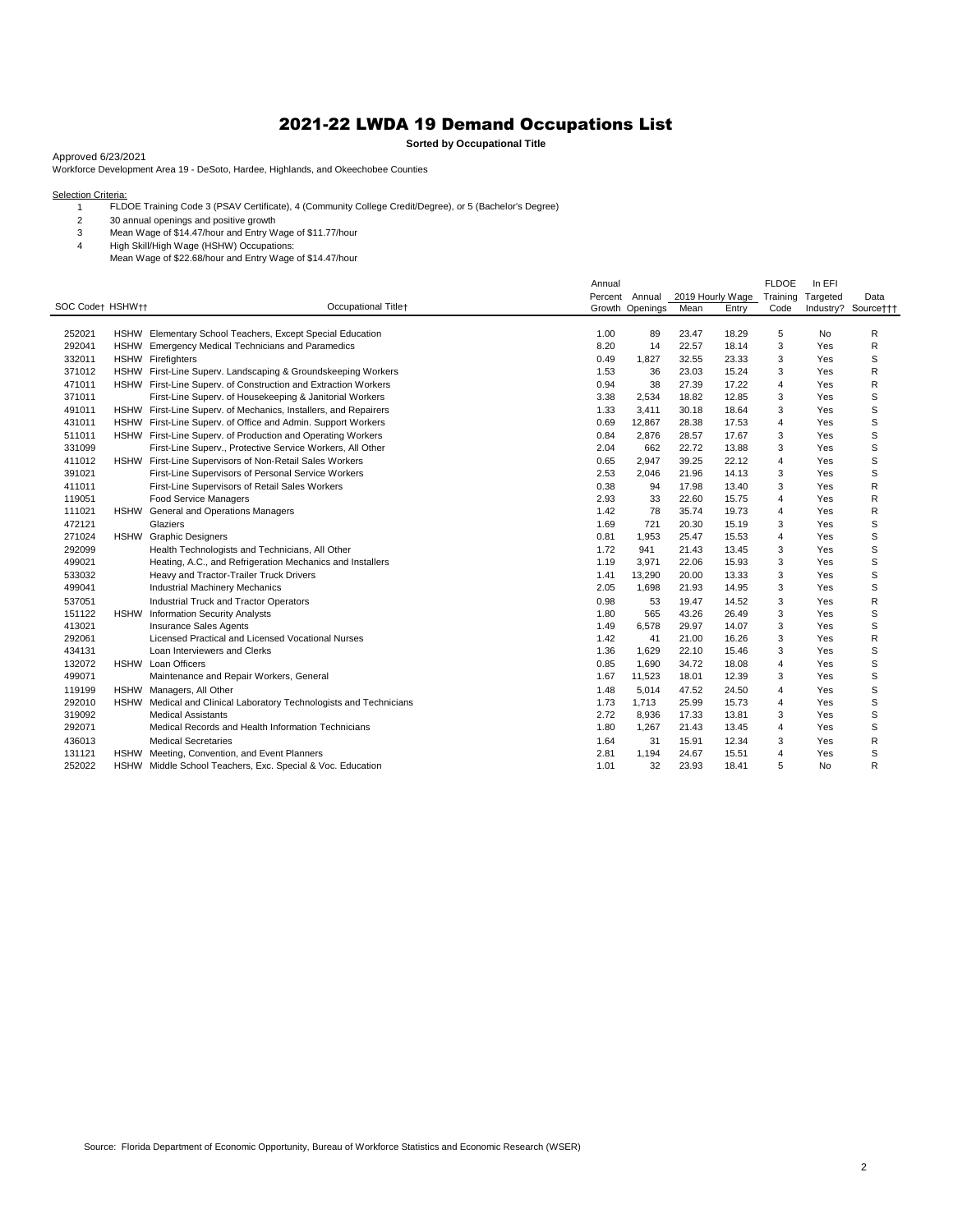## 2021-22 LWDA 19 Demand Occupations List

**Sorted by Occupational Title**

Approved 6/23/2021

Workforce Development Area 19 - DeSoto, Hardee, Highlands, and Okeechobee Counties

Selection Criteria:<br>1 FLDOE Training Code 3 (PSAV Certificate), 4 (Community College Credit/Degree), or 5 (Bachelor's Degree)

30 annual openings and positive growth

Mean Wage of \$14.47/hour and Entry Wage of \$11.77/hour

High Skill/High Wage (HSHW) Occupations:

Mean Wage of \$22.68/hour and Entry Wage of \$14.47/hour

|                  |             |                                                                    | Annual |                 |                  |       | <b>FLDOE</b>   | In EFI    |                     |
|------------------|-------------|--------------------------------------------------------------------|--------|-----------------|------------------|-------|----------------|-----------|---------------------|
|                  |             |                                                                    |        | Percent Annual  | 2019 Hourly Wage |       | Training       | Targeted  | Data                |
| SOC Code† HSHW†† |             | Occupational Titlet                                                |        | Growth Openings | Mean             | Entry | Code           |           | Industry? Source††† |
|                  |             |                                                                    |        |                 |                  |       |                |           |                     |
| 252021           |             | HSHW Elementary School Teachers, Except Special Education          | 1.00   | 89              | 23.47            | 18.29 | 5              | No        | R                   |
| 292041           |             | HSHW Emergency Medical Technicians and Paramedics                  | 8.20   | 14              | 22.57            | 18.14 | 3              | Yes       | R                   |
| 332011           |             | <b>HSHW</b> Firefighters                                           | 0.49   | 1,827           | 32.55            | 23.33 | 3              | Yes       | S                   |
| 371012           |             | HSHW First-Line Superv. Landscaping & Groundskeeping Workers       | 1.53   | 36              | 23.03            | 15.24 | 3              | Yes       | R                   |
| 471011           |             | HSHW First-Line Superv. of Construction and Extraction Workers     | 0.94   | 38              | 27.39            | 17.22 | 4              | Yes       | R                   |
| 371011           |             | First-Line Superv. of Housekeeping & Janitorial Workers            | 3.38   | 2,534           | 18.82            | 12.85 | 3              | Yes       | S                   |
| 491011           |             | HSHW First-Line Superv. of Mechanics, Installers, and Repairers    | 1.33   | 3,411           | 30.18            | 18.64 | 3              | Yes       | S                   |
| 431011           |             | HSHW First-Line Superv. of Office and Admin. Support Workers       | 0.69   | 12,867          | 28.38            | 17.53 | 4              | Yes       | S                   |
| 511011           |             | HSHW First-Line Superv. of Production and Operating Workers        | 0.84   | 2,876           | 28.57            | 17.67 | 3              | Yes       | S                   |
| 331099           |             | First-Line Superv., Protective Service Workers, All Other          | 2.04   | 662             | 22.72            | 13.88 | 3              | Yes       | S                   |
| 411012           |             | HSHW First-Line Supervisors of Non-Retail Sales Workers            | 0.65   | 2,947           | 39.25            | 22.12 | 4              | Yes       | S                   |
| 391021           |             | First-Line Supervisors of Personal Service Workers                 | 2.53   | 2,046           | 21.96            | 14.13 | 3              | Yes       | S                   |
| 411011           |             | First-Line Supervisors of Retail Sales Workers                     | 0.38   | 94              | 17.98            | 13.40 | 3              | Yes       | R                   |
| 119051           |             | Food Service Managers                                              | 2.93   | 33              | 22.60            | 15.75 | $\overline{4}$ | Yes       | R                   |
| 111021           |             | HSHW General and Operations Managers                               | 1.42   | 78              | 35.74            | 19.73 | 4              | Yes       | R                   |
| 472121           |             | Glaziers                                                           | 1.69   | 721             | 20.30            | 15.19 | 3              | Yes       | S                   |
| 271024           | <b>HSHW</b> | <b>Graphic Designers</b>                                           | 0.81   | 1,953           | 25.47            | 15.53 | 4              | Yes       | S                   |
| 292099           |             | Health Technologists and Technicians, All Other                    | 1.72   | 941             | 21.43            | 13.45 | 3              | Yes       | S                   |
| 499021           |             | Heating, A.C., and Refrigeration Mechanics and Installers          | 1.19   | 3,971           | 22.06            | 15.93 | 3              | Yes       | S                   |
| 533032           |             | Heavy and Tractor-Trailer Truck Drivers                            | 1.41   | 13,290          | 20.00            | 13.33 | 3              | Yes       | S                   |
| 499041           |             | Industrial Machinery Mechanics                                     | 2.05   | 1,698           | 21.93            | 14.95 | 3              | Yes       | S                   |
| 537051           |             | <b>Industrial Truck and Tractor Operators</b>                      | 0.98   | 53              | 19.47            | 14.52 | 3              | Yes       | R                   |
| 151122           | <b>HSHW</b> | <b>Information Security Analysts</b>                               | 1.80   | 565             | 43.26            | 26.49 | 3              | Yes       | S                   |
| 413021           |             | Insurance Sales Agents                                             | 1.49   | 6,578           | 29.97            | 14.07 | 3              | Yes       | S                   |
| 292061           |             | Licensed Practical and Licensed Vocational Nurses                  | 1.42   | 41              | 21.00            | 16.26 | 3              | Yes       | R                   |
| 434131           |             | Loan Interviewers and Clerks                                       | 1.36   | 1,629           | 22.10            | 15.46 | 3              | Yes       | S                   |
| 132072           |             | HSHW Loan Officers                                                 | 0.85   | 1,690           | 34.72            | 18.08 | $\overline{4}$ | Yes       | S                   |
| 499071           |             | Maintenance and Repair Workers, General                            | 1.67   | 11,523          | 18.01            | 12.39 | 3              | Yes       | S                   |
| 119199           |             | HSHW Managers, All Other                                           | 1.48   | 5,014           | 47.52            | 24.50 | 4              | Yes       | S                   |
| 292010           |             | HSHW Medical and Clinical Laboratory Technologists and Technicians | 1.73   | 1,713           | 25.99            | 15.73 | $\overline{4}$ | Yes       | S                   |
| 319092           |             | <b>Medical Assistants</b>                                          | 2.72   | 8,936           | 17.33            | 13.81 | 3              | Yes       | S                   |
| 292071           |             | Medical Records and Health Information Technicians                 | 1.80   | 1,267           | 21.43            | 13.45 | 4              | Yes       | S                   |
| 436013           |             | <b>Medical Secretaries</b>                                         | 1.64   | 31              | 15.91            | 12.34 | 3              | Yes       | R                   |
| 131121           |             | HSHW Meeting, Convention, and Event Planners                       | 2.81   | 1,194           | 24.67            | 15.51 | 4              | Yes       | S                   |
| 252022           |             | HSHW Middle School Teachers, Exc. Special & Voc. Education         | 1.01   | 32              | 23.93            | 18.41 | 5              | <b>No</b> | R                   |